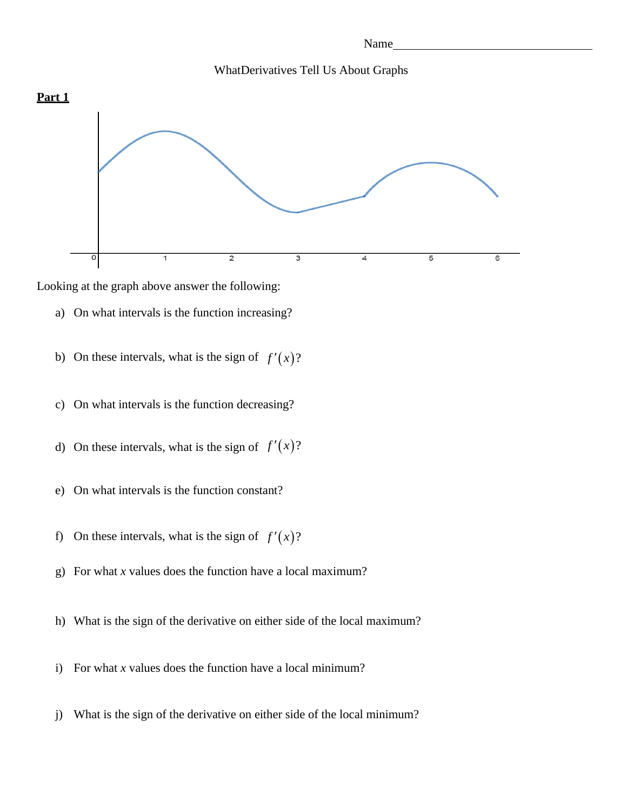



Looking at the graph above answer the following:

- a) On what intervals is the function increasing?
- b) On these intervals, what is the sign of  $f'(x)$ ?
- c) On what intervals is the function decreasing?
- d) On these intervals, what is the sign of  $f'(x)$ ?
- e) On what intervals is the function constant?
- f) On these intervals, what is the sign of  $f'(x)$ ?
- g) For what *x* values does the function have a local maximum?
- h) What is the sign of the derivative on either side of the local maximum?
- i) For what *x* values does the function have a local minimum?
- j) What is the sign of the derivative on either side of the local minimum?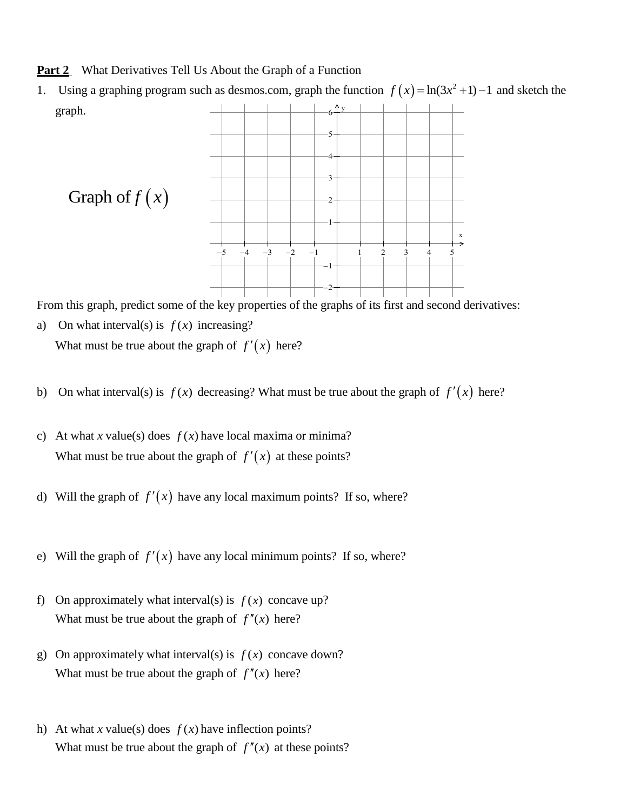**Part 2** What Derivatives Tell Us About the Graph of a Function

y 1. Using a graphing program such as desmos.com, graph the function  $f(x) = \ln(3x^2 + 1) - 1$  and sketch the



From this graph, predict some of the key properties of the graphs of its first and second derivatives:

- a) On what interval(s) is  $f(x)$  increasing? What must be true about the graph of  $f'(x)$  here?
- b) On what interval(s) is  $f(x)$  decreasing? What must be true about the graph of  $f'(x)$  here?
- c) At what *x* value(s) does  $f(x)$  have local maxima or minima? What must be true about the graph of  $f'(x)$  at these points?
- d) Will the graph of  $f'(x)$  have any local maximum points? If so, where?
- e) Will the graph of  $f'(x)$  have any local minimum points? If so, where?
- f) On approximately what interval(s) is  $f(x)$  concave up? What must be true about the graph of  $f''(x)$  here?
- g) On approximately what interval(s) is  $f(x)$  concave down? What must be true about the graph of  $f''(x)$  here?
- h) At what *x* value(s) does  $f(x)$  have inflection points? What must be true about the graph of  $f''(x)$  at these points?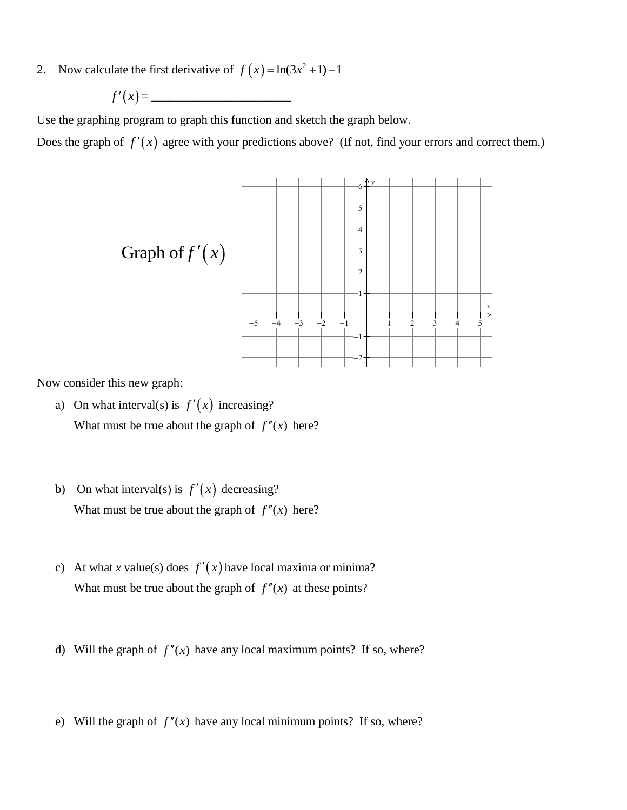2. Now calculate the first derivative of  $f(x) = \ln(3x^2 + 1) - 1$ 

$$
f'(x) = \underline{\hspace{2cm}}
$$

Use the graphing program to graph this function and sketch the graph below.

Does the graph of  $f'(x)$  agree with your predictions above? (If not, find your errors and correct them.)



Now consider this new graph:

- a) On what interval(s) is  $f'(x)$  increasing? What must be true about the graph of  $f''(x)$  here?
- b) On what interval(s) is  $f'(x)$  decreasing? What must be true about the graph of  $f''(x)$  here?
- c) At what *x* value(s) does  $f'(x)$  have local maxima or minima? What must be true about the graph of  $f''(x)$  at these points?
- d) Will the graph of  $f''(x)$  have any local maximum points? If so, where?
- e) Will the graph of  $f''(x)$  have any local minimum points? If so, where?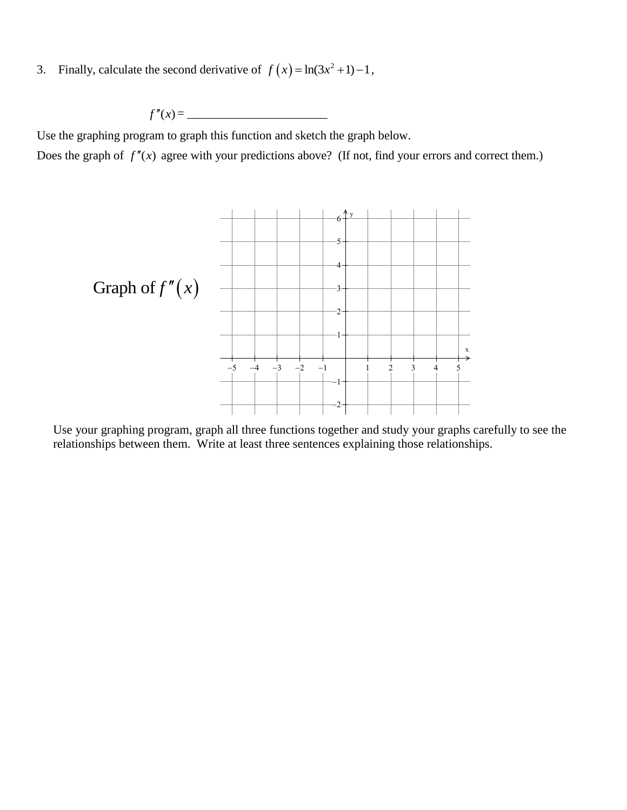3. Finally, calculate the second derivative of  $f(x) = \ln(3x^2 + 1) - 1$ ,

$$
f''(x) = \underline{\hspace{2cm}}
$$

Use the graphing program to graph this function and sketch the graph below.

Does the graph of  $f''(x)$  agree with your predictions above? (If not, find your errors and correct them.)



Use your graphing program, graph all three functions together and study your graphs carefully to see the relationships between them. Write at least three sentences explaining those relationships.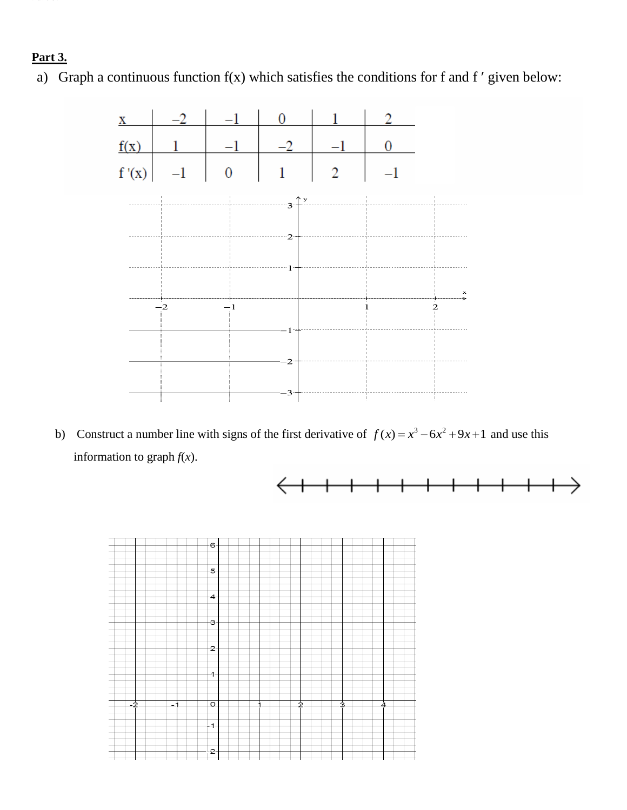## **Part 3.**

a) Graph a continuous function  $f(x)$  which satisfies the conditions for f and f' given below:



b) Construct a number line with signs of the first derivative of  $f(x) = x^3 - 6x^2 + 9x + 1$  and use this information to graph  $f(x)$ .



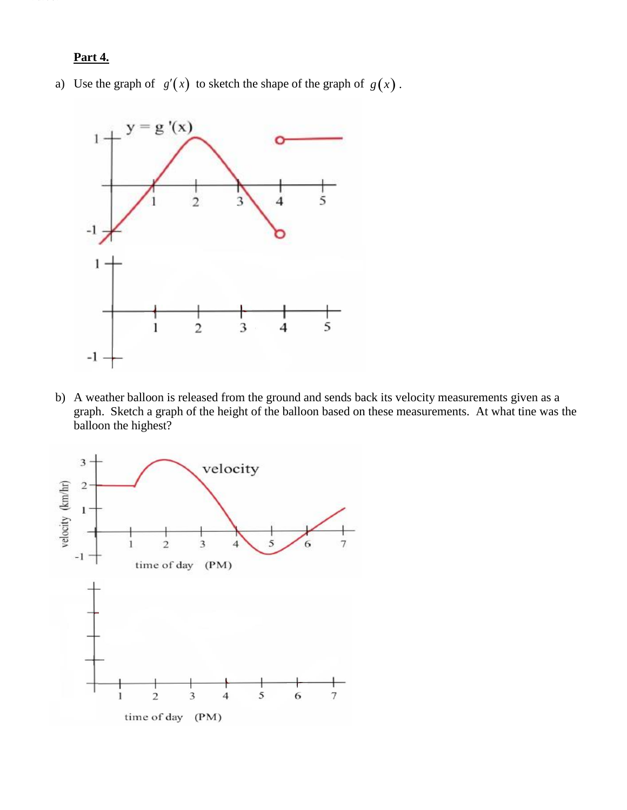Part 3.

a) Use the graph of  $g'(x)$  to sketch the shape of the graph of  $g(x)$ .



b) A weather balloon is released from the ground and sends back its velocity measurements given as a graph. Sketch a graph of the height of the balloon based on these measurements. At what tine was the balloon the highest?